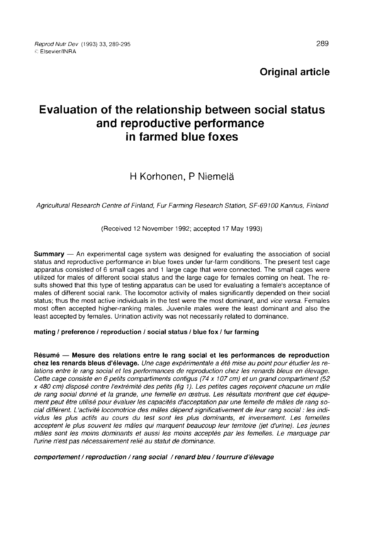Original article

# Evaluation of the relationship between social status and reproductive performance in farmed blue foxes

## H Korhonen, P Niemelä

Agricultural Research Centre of Finland, Fur Farming Research Station, SF-69100 Kannus, Finland

(Received 12 November 1992; accepted 17 May 1993)

Summary ― An experimental cage system was designed for evaluating the association of social status and reproductive performance in blue foxes under fur-farm conditions. The present test cage apparatus consisted of 6 small cages and 1 large cage that were connected. The small cages were utilized for males of different social status and the large cage for females coming on heat. The results showed that this type of testing apparatus can be used for evaluating a female's acceptance of males of different social rank. The locomotor activity of males significantly depended on their social status; thus the most active individuals in the test were the most dominant, and vice versa. Females most often accepted higher-ranking males. Juvenile males were the least dominant and also the least accepted by females. Urination activity was not necessarily related to dominance.

### mating / preference / reproduction / social status / blue fox / fur farming

Résumé ― Mesure des relations entre le rang social et les performances de reproduction chez les renards bleus d'élevage. Une cage expérimentale a été mise au point pour étudier les relations entre le rang social et les performances de reproduction chez les renards bleus en élevage. Cette cage consiste en 6 petits compartiments contigus (74 x 107 cm) et un grand compartiment (52 x 480 cm) disposé contre l'extrémité des petits (fig 1). Les petites cages reçoivent chacune un mâle de rang social donné et la grande, une femelle en œstrus. Les résultats montrent que cet équipement peut être utilisé pour évaluer les capacités d'acceptation par une femelle de mâles de rang social différent. L'activité locomotrice des mâles dépend significativement de leur rang social : les individus les plus actifs au cours du test sont les plus dominants, et inversement. Les femelles acceptent le plus souvent les mâles qui marquent beaucoup leur territoire (jet d'urine). Les jeunes mâles sont les moins dominants et aussi les moins acceptés par les femelles. Le marquage par l'urine n'est pas nécessairement relié au statut de dominance.

### comportement / reproduction / rang social / renard bleu / fourrure d'élevage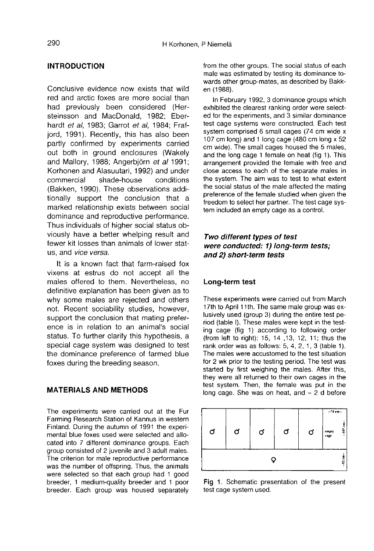## INTRODUCTION

Conclusive evidence now exists that wild red and arctic foxes are more social than had previously been considered (Hersteinsson and MacDonald, 1982; Eberhardt et al, 1983; Garrot et al, 1984; Frafjord, 1991). Recently, this has also been partly confirmed by experiments carried out both in ground enclosures (Wakely and Mallory, 1988; Angerbiörn et al 1991; Korhonen and Alasuutari, 1992) and under shade-house (Bakken, 1990). These observations additionally support the conclusion that a marked relationship exists between social dominance and reproductive performance. Thus individuals of higher social status obviously have a better whelping result and fewer kit losses than animals of lower status, and vice versa.

It is a known fact that farm-raised fox vixens at estrus do not accept all the males offered to them. Nevertheless, no definitive explanation has been given as to why some males are rejected and others not. Recent sociability studies, however, support the conclusion that mating preference is in relation to an animal's social status. To further clarify this hypothesis, a special cage system was designed to test the dominance preference of farmed blue foxes during the breeding season.

## MATERIALS AND METHODS

The experiments were carried out at the Fur Farming Research Station of Kannus in western Finland. During the autumn of 1991 the experimental blue foxes used were selected and allocated into 7 different dominance groups. Each group consisted of 2 juvenile and 3 adult males. The criterion for male reproductive performance was the number of offspring. Thus, the animals were selected so that each group had 1 good breeder, 1 medium-quality breeder and 1 poor breeder. Each group was housed separately from the other groups. The social status of each male was estimated by testing its dominance towards other group-mates, as described by Bakken (1988).

In February 1992, 3 dominance groups which exhibited the clearest ranking order were selected for the experiments, and 3 similar dominance test cage systems were constructed. Each test system comprised 6 small cages (74 cm wide x 107 cm long) and 1 long cage (480 cm long x 52 cm wide). The small cages housed the 5 males, and the long cage 1 female on heat (fig 1). This arrangement provided the female with free and close access to each of the separate males in the system. The aim was to test to what extent the social status of the male affected the mating preference of the female studied when given the freedom to select her partner. The test cage system included an empty cage as a control.

## Two different types of test were conducted: 1) Iong-term tests; and 2) short-term tests

#### Long-term test

These experiments were carried out from March 17th to April 11th. The same male group was exlusively used (group 3) during the entire test period (table I). These males were kept in the testing cage (fig 1) according to following order (from left to right): 15, 14 ,13, 12, 11; thus the rank order was as follows:  $5, 4, 2, 1, 3$  (table 1). The males were accustomed to the test situation for 2 wk prior to the testing period. The test was started by first weighing the males. After this, they were all returned to their own cages in the test system. Then, the female was put in the long cage. She was on heat, and  $\approx$  2 d before



Fig 1. Schematic presentation of the present test cage system used.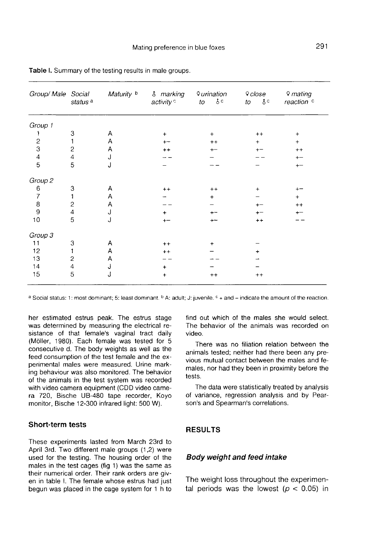| Group/ Male Social                    | status <sup>a</sup> | Maturity b | <b>&amp;</b> marking<br>activity <sup>c</sup> | <i><b>Qurination</b></i><br>$\gamma_c$<br>to | o close<br>$\delta^c$<br>to | Q mating<br>reaction <sup>c</sup> |
|---------------------------------------|---------------------|------------|-----------------------------------------------|----------------------------------------------|-----------------------------|-----------------------------------|
| Group 1                               |                     |            |                                               |                                              |                             |                                   |
| 1                                     | 3                   | Α          | $\ddot{}$                                     | $+$                                          | $++$                        | $\ddot{}$                         |
|                                       |                     | Α          | $+$                                           | $++$                                         | $\ddotmark$                 | $+$                               |
| $\frac{2}{3}$                         | $\overline{c}$      | Α          | $++$                                          | $+ -$                                        | $+ -$                       | $^{++}$                           |
| $\frac{4}{5}$                         | $\overline{4}$      | J          |                                               |                                              |                             | $^{+-}$                           |
|                                       | 5                   | J          |                                               |                                              |                             | $+ -$                             |
| Group <sub>2</sub>                    |                     |            |                                               |                                              |                             |                                   |
| 6                                     | 3                   | А          | $++$                                          | $^{++}$                                      | $+$                         |                                   |
| $\overline{\mathcal{L}}$              |                     | Α          |                                               | $\ddot{}$                                    |                             | $+$                               |
| $\begin{array}{c} 8 \\ 9 \end{array}$ | $\sqrt{2}$          | A          |                                               |                                              |                             | $++$                              |
|                                       | $\overline{4}$      | J          | $\ddot{}$                                     |                                              |                             | $\mathrm{+}-$                     |
| 10                                    | 5                   | J          |                                               |                                              | $++$                        |                                   |
| Group 3                               |                     |            |                                               |                                              |                             |                                   |
| 11                                    | 3                   | Α          | $++$                                          | $\ddot{}$                                    |                             |                                   |
| 12                                    | 1                   | Α          | $++$                                          |                                              | $\ddot{}$                   |                                   |
| 13                                    | $\overline{c}$      | А          |                                               |                                              |                             |                                   |
| 14                                    | $\overline{4}$      | J          | ÷                                             |                                              |                             |                                   |
| 15                                    | 5                   | J          | $\ddot{}$                                     | $^{++}$                                      | $^{++}$                     |                                   |

Table I. Summary of the testing results in male groups.

a Social status; 1; most dominant; 5; least dominant. <sup>b</sup> A; adult; J; juvenile, <sup>c</sup> + and – indicate the amount of the reaction.

her estimated estrus peak. The estrus stage was determined by measuring the electrical resistance of that female's vaginal tract daily (M61ler, 1980). Each female was tested for 5 consecutive d. The body weights as well as the feed consumption of the test female and the experimental males were measured. Urine marking behaviour was also monitored. The behavior of the animals in the test system was recorded with video camera equipment (CDD video camera 720, Bische UB-480 tape recorder, Koyo monitor, Bische 12-300 infrared light: 500 W).

## Short-term tests

These experiments lasted from March 23rd to April 3rd. Two different male groups (1,2) were used for the testing. The housing order of the males in the test cages (fig 1) was the same as their numerical order. Their rank orders are giv en in table I. The female whose estrus had just begun was placed in the cage system for 1 h to

find out which of the males she would select. The behavior of the animals was recorded on video.

There was no filiation relation between the animals tested; neither had there been any previous mutual contact between the males and females, nor had they been in proximity before the tests.

The data were statistically treated by analysis of variance, regression analysis and by Pearson's and Spearman's correlations.

## RESULTS

#### Body weight and feed intake

The weight loss throughout the experimental periods was the lowest ( $p < 0.05$ ) in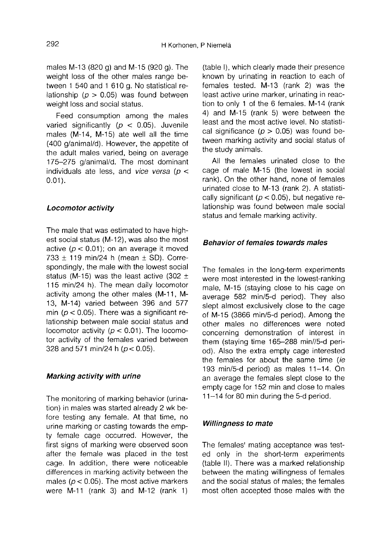males M-13 (820 g) and M-15 (920 g). The weight loss of the other males range between 1 540 and 1 610 g. No statistical relationship ( $p > 0.05$ ) was found between weight loss and social status.

Feed consumption among the males varied significantly ( $p < 0.05$ ). Juvenile males (M-14, M-15) ate well all the time (400 g/animal/d). However, the appetite of the adult males varied, being on average 175-275 g/animal/d. The most dominant individuals ate less, and vice versa ( $p <$  $0.01$ .

### Locomotor activity

The male that was estimated to have highest social status (M-12), was also the most active ( $p < 0.01$ ); on an average it moved 733  $\pm$  119 min/24 h (mean  $\pm$  SD). Correspondingly, the male with the lowest social status (M-15) was the least active (302  $\pm$ 115 min/24 h). The mean daily locomotor activity among the other males (M-11, M-13, M-14) varied between 396 and 577 min ( $p < 0.05$ ). There was a significant relationship between male social status and locomotor activity ( $p < 0.01$ ). The locomotor activity of the females varied between 328 and 571 min/24 h ( $p < 0.05$ ).

## Marking activity with urine

The monitoring of marking behavior (urination) in males was started already 2 wk before testing any female. At that time, no urine marking or casting towards the empty female cage occurred. However, the first signs of marking were observed soon after the female was placed in the test cage. In addition, there were noticeable differences in marking activity between the males ( $p < 0.05$ ). The most active markers were M-11 (rank 3) and M-12 (rank 1)

(table I), which clearly made their presence known by urinating in reaction to each of females tested. M-13 (rank 2) was the least active urine marker, urinating in reaction to only 1 of the 6 females. M-14 (rank 4) and M-15 (rank 5) were between the least and the most active level. No statistical significance ( $p > 0.05$ ) was found between marking activity and social status of the study animals.

All the females urinated close to the cage of male M-15 (the lowest in social rank). On the other hand, none of females urinated close to M-13 (rank 2). A statistically significant ( $p < 0.05$ ), but negative relationship was found between male social status and female marking activity.

## Behavior of females towards males

The females in the long-term experiments were most interested in the lowest-ranking male, M-15 (staying close to his cage on average 582 min/5-d period). They also slept almost exclusively close to the cage of M-15 (3866 min/5-d period). Among the other males no differences were noted concerning demonstration of interest in them (staying time 165-288 min//5-d period). Also the extra empty cage interested the females for about the same time (ie 193 min/5-d period) as males 11-14. On an average the females slept close to the empty cage for 152 min and close to males 11-14 for 80 min during the 5-d period.

#### Willingness to mate

The females' mating acceptance was tested only in the short-term experiments (table II). There was a marked relationship between the mating willingness of females and the social status of males; the females most often accepted those males with the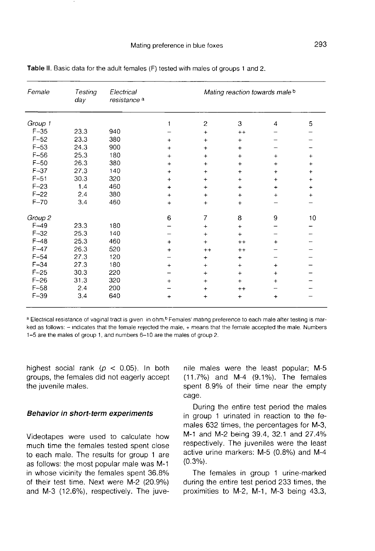| Female   | Testing<br>day | Electrical<br>resistance <sup>a</sup> | Mating reaction towards male b |                |             |                |                                  |  |
|----------|----------------|---------------------------------------|--------------------------------|----------------|-------------|----------------|----------------------------------|--|
| Group 1  |                |                                       | 1                              | 2              | 3           | $\overline{4}$ | 5                                |  |
| $F-35$   | 23.3           | 940                                   |                                | $\ddot{}$      | $^{++}$     |                |                                  |  |
| $F-52$   | 23.3           | 380                                   | $+$                            | $\ddot{}$      | $\ddot{}$   |                |                                  |  |
| $F-53$   | 24.3           | 900                                   | $\ddot{}$                      | $\ddot{}$      | $\ddot{}$   |                |                                  |  |
| $F-56$   | 25.3           | 180                                   | $\ddot{}$                      | $\ddot{}$      | $\ddot{}$   | $\ddot{}$      | $\ddot{}$                        |  |
| $F-50$   | 26.3           | 380                                   | $\pmb{+}$                      | $+$            | $\ddot{}$   | +              | +                                |  |
| $F-37$   | 27.3           | 140                                   | $\ddot{}$                      | $\ddot{}$      | $\ddot{}$   | $\ddot{}$      | $\ddot{}$                        |  |
| $F - 51$ | 30.3           | 320                                   | +                              | $\ddot{}$      | $\ddot{}$   | $\pmb{+}$      | $\ddot{}$                        |  |
| $F-23$   | 1.4            | 460                                   | $\ddot{}$                      | $\ddot{}$      | $\ddot{}$   | $\ddot{}$      | $\begin{array}{c} + \end{array}$ |  |
| $F-22$   | 2.4            | 380                                   | $\ddot{}$                      | $\ddot{}$      | $\ddot{}$   | $\ddot{}$      | $\ddot{}$                        |  |
| $F-70$   | 3.4            | 460                                   | $\ddot{}$                      | $\ddot{}$      | $\ddot{}$   |                |                                  |  |
| Group 2  |                |                                       | 6                              | $\overline{7}$ | 8           | 9              | 10                               |  |
| $F-49$   | 23.3           | 180                                   |                                | $+$            | $+$         |                |                                  |  |
| $F-32$   | 25.3           | 140                                   |                                | $\ddot{}$      | $+$         |                |                                  |  |
| $F-48$   | 25.3           | 460                                   | $+$                            | $\ddot{}$      | $++$        | ٠              |                                  |  |
| $F-47$   | 26.3           | 520                                   | +                              | $++$           | $^{++}$     |                |                                  |  |
| $F - 54$ | 27.3           | 120                                   |                                | $\ddot{}$      | $\ddot{}$   |                |                                  |  |
| $F-34$   | 27.3           | 180                                   | +                              | $\ddot{}$      | $+$         | $\ddot{}$      |                                  |  |
| $F-25$   | 30.3           | 220                                   |                                | $\ddot{}$      | $\ddotmark$ | $\ddot{}$      |                                  |  |
| $F-26$   | 31.3           | 320                                   | $+$                            | $\ddot{}$      | $\ddot{}$   | $\ddot{}$      |                                  |  |
| $F - 58$ | 2.4            | 200                                   |                                | $\ddotmark$    | $++$        |                |                                  |  |
| $F-39$   | 3.4            | 640                                   | $\ddot{}$                      | $\ddot{}$      | $\ddot{}$   | $+$            |                                  |  |

Table II. Basic data for the adult females (F) tested with males of groups 1 and 2.

a Electrical resistance of vaginal tract is given in ohm.<sup>b</sup> Females' mating preference to each male after testing is marked as follows: - indicates that the female rejected the male, + means that the female accepted the male. Numbers 1-5 are the males of group 1, and numbers 6-10 are the males of group 2.

highest social rank ( $p < 0.05$ ). In both groups, the females did not eagerly accept the juvenile males.

### Behavior in short-term experiments

Videotapes were used to calculate how much time the females tested spent close to each male. The results for group 1 are as follows: the most popular male was M-1 in whose vicinity the females spent 36.8% of their test time. Next were M-2 (20.9%) and M-3 (12.6%), respectively. The juvenile males were the least popular; M-5 (11.7%) and M-4 (9.1%). The females spent 8.9% of their time near the empty cage.

During the entire test period the males in group 1 urinated in reaction to the females 632 times, the percentages for M-3, M-1 and M-2 being 39.4, 32.1 and 27.4% respectively. The juveniles were the least active urine markers: M-5 (0.8%) and M-4 (0.3%).

The females in group 1 urine-marked during the entire test period 233 times, the proximities to M-2, M-1, M-3 being 43.3,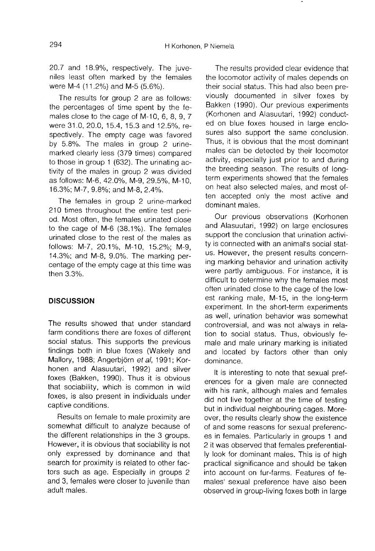20.7 and 18.9%, respectively. The juveniles least often marked by the females were M-4 (11.2%) and M-5 (5.6%).

The results for group 2 are as follows: the percentages of time spent by the females close to the cage of M-10, 6, 8, 9, 7 were 31.0, 20.0, 15.4, 15.3 and 12.5%, respectively. The empty cage was favored by 5.8%. The males in group 2 urinemarked clearly less (379 times) compared to those in group 1 (632). The urinating activity of the males in group 2 was divided as follows: M-6, 42.0%, M-9, 29.5%, M-10, 16.3%; M-7, 9.8%; and M-8, 2.4%.

The females in group 2 urine-marked 210 times throughout the entire test period. Most often, the females urinated close to the cage of M-6 (38.1%). The females urinated close to the rest of the males as follows: M-7, 20.1%, M-10, 15.2%; M-9, 14.3%; and M-8, 9.0%. The marking percentage of the empty cage at this time was then 3.3%.

## **DISCUSSION**

The results showed that under standard farm conditions there are foxes of different social status. This supports the previous findings both in blue foxes (Wakely and Mallory, 1988; Angerbjörn et al, 1991; Korhonen and Alasuutari, 1992) and silver foxes (Bakken, 1990). Thus it is obvious that sociability, which is common in wild foxes, is also present in individuals under captive conditions.

Results on female to male proximity are somewhat difficult to analyze because of the different relationships in the 3 groups. However, it is obvious that sociability is not only expressed by dominance and that search for proximity is related to other factors such as age. Especially in groups 2 and 3, females were closer to juvenile than adult males.

The results provided clear evidence that the locomotor activity of males depends on their social status. This had also been previously documented in silver foxes by Bakken (1990). Our previous experiments (Korhonen and Alasuutari, 1992) conducted on blue foxes housed in large enclosures also support the same conclusion. Thus, it is obvious that the most dominant males can be detected by their locomotor activity, especially just prior to and during the breeding season. The results of longterm experiments showed that the females on heat also selected males, and most often accepted only the most active and dominant males.

Our previous observations (Korhonen and Alasuutari, 1992) on large enclosures support the conclusion that urination activity is connected with an animal's social status. However, the present results concerning marking behavior and urination activity were partly ambiguous. For instance, it is difficult to determine why the females most often urinated close to the cage of the lowest ranking male, M-15, in the long-term experiment. In the short-term experiments as well, urination behavior was somewhat controversial, and was not always in relation to social status. Thus, obviously female and male urinary marking is initiated and located by factors other than only dominance.

It is interesting to note that sexual pref erences for a given male are connected with his rank, although males and females did not live together at the time of testing but in individual neighbouring cages. Moreover, the results clearly show the existence of and some reasons for sexual preferenc es in females. Particularly in groups 1 and 2 it was observed that females preferentially look for dominant males. This is of high practical significance and should be taken into account on fur-farms. Features of females' sexual preference have also been observed in group-living foxes both in large